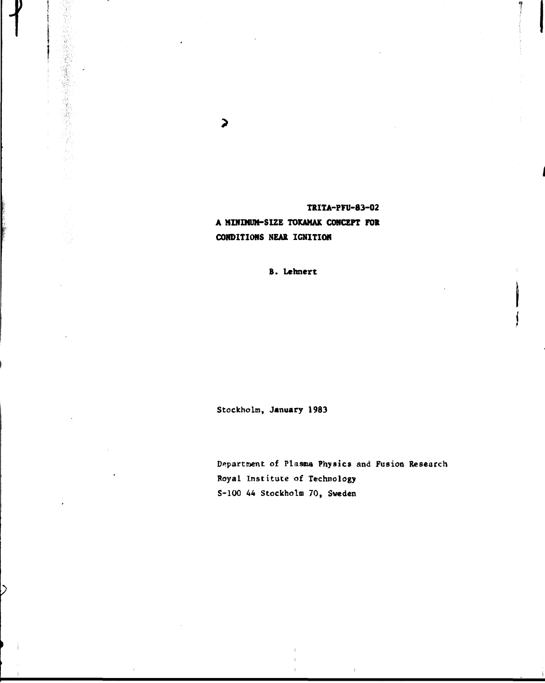**TRITA-PFU-83-02 A MINDfUH-SIZE TOKAMAK CONCEPT FOR CONDITIONS NEAR IGNITION**

# **B. Lehnert**

**Stockholm, January 1983**

**Department of Plasma Physics and Fusion Research Royal Institute of Technology S-100 44 Stockholm 70, Sweden**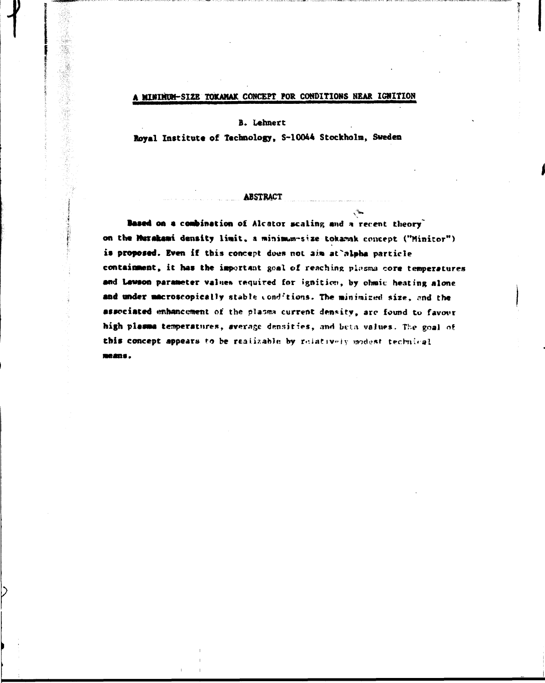# **A MISIMUW-SI2E TOKAHAX CONCEPT FOR CONDITIONS NEAR IGNITION**

### **B. Lehnert**

「大学の場合の場合は、「大学の場合」ということがある。 こうしょう こうしょう こうしょう こうしょう かんじょう こうしょう こうしょう こうしょう こうしょう こうしょう こうしょう こうしょう こうしょう

**loyal Institute of Technology, S-10044 Stockholm, Sweden**

## **ABSTRACT**

**Based on a combination of Alcator scaling and a recent theory"** on the Murakami density limit, a minimum-size tokamak concept ("Minitor") is proposed. Even if this concept does not aim at alpha particle containment, it has the important goal of reaching plasma core temperatures **and Lavson parameter** value» required for ignition, by ohmic heating alone and under macroscopically stable conditions. The minimized size, and the associated enhancement of the plasma current density, are found to favour high plasma temperatures, average densities, and beta values. The goal of this concept appears to be realizable by relatively modest technical means.

ھي.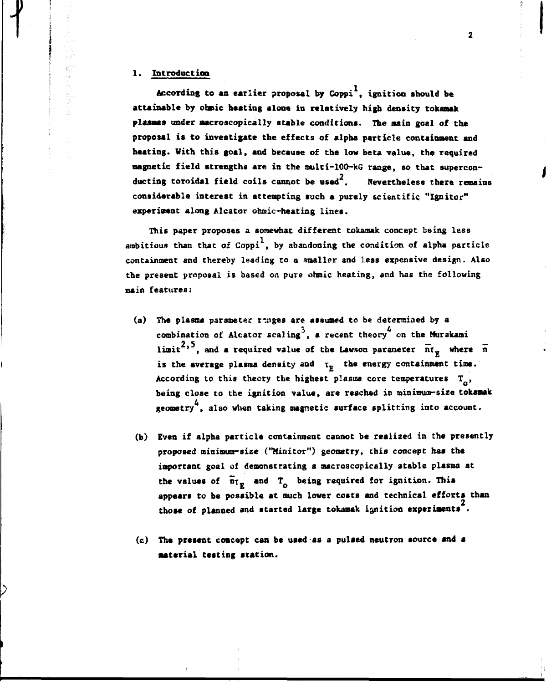#### **1. Introduction**

**According to an earlier proposal by Coppi , ignition should be attainable by obsic beating alone in relatively high density tokanak plasmas under macroscopically stable conditions. The main goal of the proposal is to investigate the effects of alpha particle containment and heating. With this goal, and because of the low beta value, the required magnetic field strengths are in the multi-100-kG range, so that supercon-2 ducting toroidal field coils cannot be used . Nevertheless there remains considerable interest in attempting such a purely scientific "Ignitor" experiment along Alcator ohmic-heating lines.**

**This paper proposes a somewhat different tokamak concept being less** ambitious than that of Coppi<sup>1</sup>, by abandoning the condition of alpha particle **containment and thereby leading to a smaller and less expensive design. Also the present proposal is based on pure ohmic heating, and has the following main features:**

- **(a) The plasma parameter r-jages are assumed to be determined by a** combination of Alcator scaling<sup>3</sup>, a recent theory<sup>4</sup> on the Murakami limit<sup>2,5</sup>, and a required value of the Lawson parameter  $\tilde{n}r_g$  where  $\tilde{n}$ **2 5 — limit ' , and a required value of the Lavson parameter nr\_ where n** According to this theory the highest plasme core temperatures  $T_{0}$ ,<br>being close to the ignition value, are reached in minimum-size tokamak **According to this theory the highest plasisa core temperatures T , being close to the ignition value, are reached in minimum-size tokanak**
- **(b) Even if alpha particle containment cannot be realized in the presently proposed minimum-size ("Minitor") geometry, chis concept has the important goal of demonstrating a microscopically stable plasma at the values of nr\_ and T being required for ignition. This appears to be possible at much lower costs and technical efforts than those of planned and started large tokamak ignition experiments .**
- **(c) The present concept can be used as a pulsed neutron source and a material testing station.**

 $\overline{\mathbf{2}}$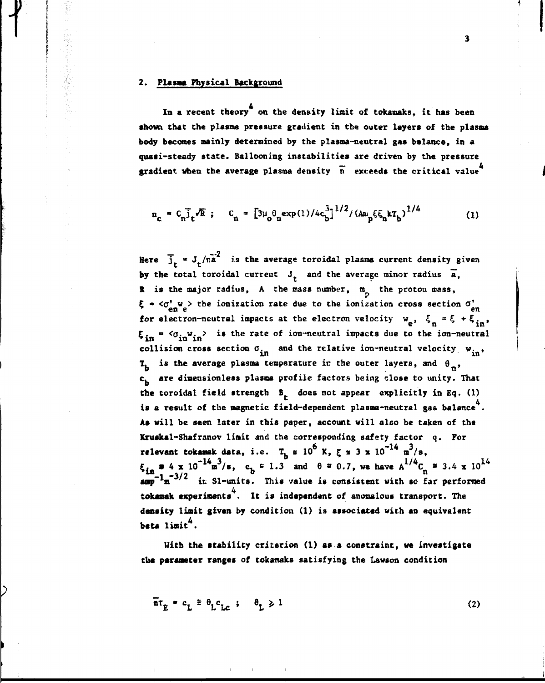## **2. Plasma Physical Background**

化乙烯酸盐 医阿拉伯氏

**In a recent theory on the density limit of tokamaks, it has been shown that the plasma pressure gradient in the outer layers of the plasma body becomes mainly determined by the plasma-neutral gas balance, in a quasi-steady state. Ballooning instabilities are driven by the pressure** gradient when the average plasma density  $\overline{n}$  exceeds the critical value<sup>4</sup>

$$
n_c = C_n \bar{j}_t \sqrt{R} ; C_n = \left[3\mu_0 \theta_n \exp(1)/4c_b^3\right]^{1/2} / \left(\Delta n_p \xi \xi_n k T_b\right)^{1/4}
$$
 (1)

Here  $\overline{j}_{\tau} = J_{\tau}/\pi a^2$  is the average toroidal plasma current density given by the total toroidal current  $J_t$  and the average minor radius  $\bar{a}$ , **R** is the major radius, A the mass number, m<sub>p</sub> the proton mass,  $\boldsymbol{\xi}$  =  $\langle \sigma_{\text{en}}^{V} \, \boldsymbol{\psi} \rangle$  the ionization rate due to the ionization cross section  $\sigma_{\text{en}}^{V}$ for electron-neutral impacts at the electron velocity  $w_e$ ,  $\xi_n = \xi + \xi_{in}$ ,  $\boldsymbol{\xi}_{in}$  =  $\langle \sigma_{in} w_{in} \rangle$  is the rate of ion-neutral impacts due to the ion-neutral  $\ddotsc$  in  $\ddotsc$ **collision cross section**  $\frac{1}{n}$  and the relative fon-neutral velocity  $w_{in}$ ,  $\mathbf{T_b}$  is the average plasma temperature in the outer layers, and  $\theta_{\mathbf{n}},$ c<sub>h</sub> are dimensionless plasma profile factors being close to unity. That **c, are dimeasionless plasma profile factors being close to unity. That** the toroidal rield strength B<sub>L</sub> does not appear explicitly in Eq. (1) is a result of the magnetic field-dependent plasma-neutral gas balance<sup>4</sup>. As will be seen later in this paper, account will also be taken of the Kruskal-Shafranov limit and the corresponding safety factor q. For **Krausk** tokamak data, i.e.  $T_h \approx 10^6$  K,  $\xi \approx 3 \times 10^{-14}$  m<sup>3</sup>/s,  $\epsilon_{\text{in}} = 4 \times 10^{-14} \text{m}^3/\text{s}$ ,  $\epsilon_{\text{b}} = 1.3$  and  $\theta = 0.7$ , we have  $A^{1/4}C_n = 3.4 \times 10^{14}$  $\frac{10}{4.00}$  **1** $\frac{1}{10}$  $\frac{3}{2}$  in S1-units. This value is consistent with so far performed amak exneriments. It is independent of anomalous transp **amp n iv Sl-units. This value is consistent with so far performed 4** beta limit<sup>4</sup>.

With the stability criterion (1) as a constraint, we investigate the parameter ranges of tokamaks satisfying the Lawson condition

$$
\overline{\mathbf{a}}\mathbf{r}_E = \mathbf{c}_L \equiv \theta_L \mathbf{c}_{Lc} \quad ; \quad \theta_L \ge 1 \tag{2}
$$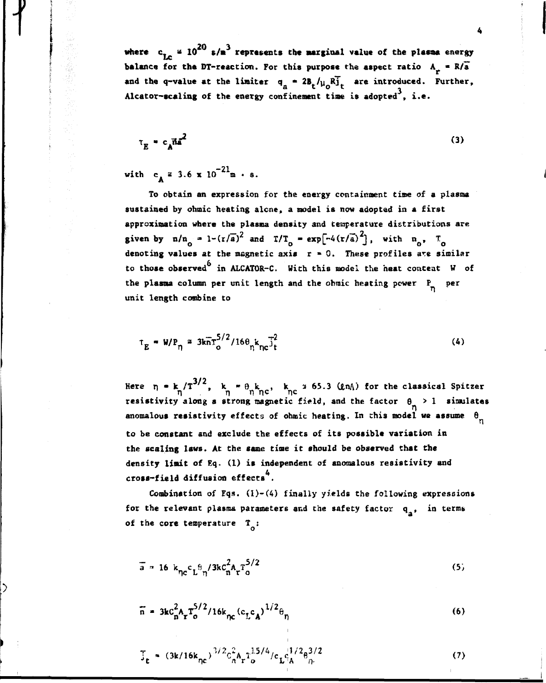where  $c_{1a} = 10^{20} s/n^3$  represents the marginal value of the plasma energy **balance for the DT-reaction. For this purpose the aspect ratio**  $A_n = R/\overline{a}$ and the q-value at the limiter  $q_a = 2B_t / \mu_0 R_{1t}$  are introduced. Further, **Alcator-scaling of the energy confinement tine is adopted , i.e.**

$$
\tau_E = c_A \bar{n} a^2 \tag{3}
$$

 $\text{with} \quad c_A = 3.6 \times 10^{-21} \text{m} \cdot \text{s}.$ 

**f**

**To obtain an expression for the energy containment time of a plasma sustained by ohmic heating alone, a model is now adopted in a first approximation where the plasma density and temperature distributions are given by**  $n/n_0 = 1-(r/a)^2$  and  $T/T_0 = exp[-4(r/a)^2]$ , with  $n_0$ ,  $T_0$ **denoting values at the magnetic axis r » 0. These profiles are similar to those observed in ALCATOR-C. With this model the heat content W of** the plasma column per unit length and the ohmic heating power P<sub>n</sub> per **unit length combine to**

$$
\tau_E = W/P_{\eta} = 3k\bar{n}\tau_o^{5/2}/16\theta_n k_{nc} \bar{j}_t^2
$$
 (4)

Here  $\eta$  = k  $/T^{3/2}$ , k =  $\theta_{\mu}$ k<sub>na</sub>, k  $\alpha$  55.3 (QnA) for the classical Spitzer **T\ n n n<sup>c</sup> ne resistivity along a strong magnetic field, and the factor 8 > 1 simulates 0 anomalous resistivity effects of ohmic heating. In this model we assume 6 to be constant and exclude the effects of its possible variation in the scaling laws. At Che same time it should be observed that the density limit of Eq, (1) is independent of anomalous resistivity and cross-field diffusion effects .**

**Combination of Eqs. (l)-(4) finally yields the following expressions** for the relevant plasma parameters and the safety factor q<sub>2</sub>, in terms of the core temperature T<sub>2</sub>:

$$
\bar{a} = 16 k_{\eta c} c_L^{\theta} \gamma / 3k c_n^2 A_r T_0^{5/2}
$$
 (5)

$$
\bar{n} = 3k c_n^2 A_r T_o^{5/2} / 16k_{nc} (c_L c_A)^{1/2} \theta_n
$$
 (6)

$$
\overline{\mathbf{j}}_{\mathbf{t}} = (3k/16k_{\eta c})^{3/2} c_{\mathbf{n}}^2 \mathbf{A}_{\mathbf{r}} \mathbf{1}_{\mathbf{o}}^{1.5/4} / c_{\mathbf{L}} c_{\mathbf{A}}^{1.7/2} \mathbf{e}_{\eta}^{3/2}
$$
 (7)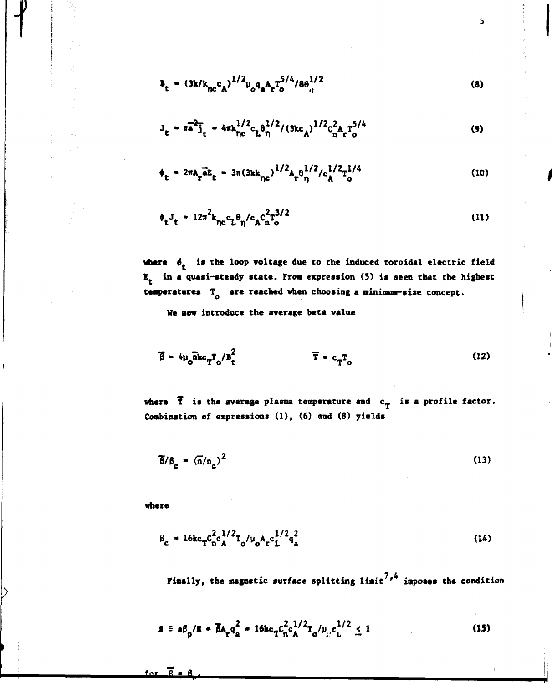$$
B_{t} = (3k/k_{nc}c_{A})^{1/2}\mu_{0}q_{A}A_{r}T_{o}^{5/4}/8\theta_{ij}^{1/2}
$$
 (8)

Š

$$
J_{t} = \pi a^{2} \bar{j}_{t} = 4 \pi k_{\text{nc}}^{1/2} c_{L} \theta_{\eta}^{1/2} / (3k c_{A})^{1/2} c_{n}^{2} A_{r} T_{o}^{5/4}
$$
 (9)

$$
\phi_{\rm t} = 2\pi A_{\rm r} \bar{a} E_{\rm t} = 3\pi (3\kappa k_{\rm pc})^{1/2} A_{\rm r} \theta_{\rm n}^{1/2} / c_{\rm A}^{1/2} T_{\rm o}^{1/4}
$$
 (10)

$$
\phi_t J_t = 12\pi^2 k_{\eta c} c_L \theta_\eta / c_A c_n^2 T_0^{3/2}
$$
 (11)

where  $\phi$ , is the loop voltage due to the induced toroidal electric field **E in a quasi-steady state. From expression (5) is seen that the highest** temperatures  $T_{\alpha}$  are reached when choosing a minimum-size concept.

**He now introduce the average beta value**

$$
\overline{\beta} = 4\mu_o \overline{\text{a}} \text{kc}_{\text{T}} \mathbf{T}_o / \overline{\text{b}}_c^2
$$
 (12)

**where T is the average plasma temperature and c\_ is a profile factor. Combination of expressions (1), (6) and (8) yields**

$$
\overline{\beta}/\beta_c = (\overline{n}/n_c)^2
$$
 (13)

**where**

 $\overline{R}$ 

for

**-f**

$$
\beta_{\rm c} = 16 \kappa_{\rm T} c_{\rm n}^2 c_{\rm A}^{1/2} T_{\rm o}/\mu_{\rm o} A_{\rm r} c_{\rm L}^{1/2} q_{\rm a}^2 \tag{14}
$$

**Finally, the magnetic surface splitting limit ' imposes the condition**

$$
\mathbf{s} \equiv \mathbf{a} \mathbf{B}_{\mathbf{p}} / \mathbf{R} = \overline{\mathbf{B}} \mathbf{A}_{\mathbf{r}} \mathbf{q}_{\mathbf{a}}^2 = 16 \mathbf{k} \mathbf{c}_{\mathbf{T}} \mathbf{c}_{\mathbf{n}}^2 \mathbf{c}_{\mathbf{A}}^{1/2} \mathbf{T}_{\mathbf{o}} / \mu_{\mathcal{C}} \mathbf{c}_{\mathbf{L}}^{1/2} \le 1
$$
 (15)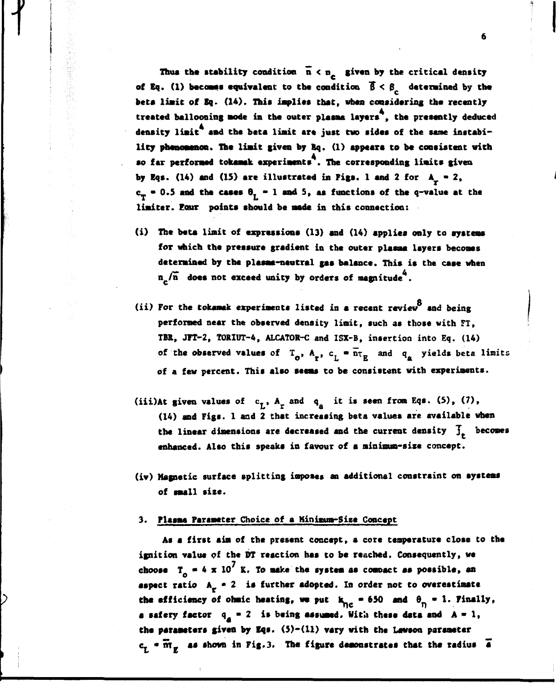Thus the stability condition  $\overline{n} < n_c$  given by the critical density of Eq. (1) becomes equivalent to the condition  $\vec{\beta} < \beta_c$  determined by the **beta limit of Sq. (14). This implies that, when considering the recently treated ballooning mode in the outer plasma layers , the presently deduced** density limit<sup>4</sup> and the beta limit are just two sides of the same instabi**lity phenomenon. The limit given by Kq. (1) appears to be consistent with so far performed tokamak experiments . The corresponding limits given** by Eqs. (14) and (15) are illustrated in Figs. 1 and 2 for  $A<sub>o</sub> = 2$ ,  $c_T = 0.5$  and the cases  $\theta_L = 1$  and 5, as functions of the q-value at the **limiter. Eour points should be made in this connection:**

- **(i) The beta liait of expressions (13) and (14) applies only to systems for which the pressure gradient in the outer plasma layers becomes determined by the plasma-neutral gas balance. This is the case when n /n does not exceed unity by orders of magnitude .**
- (ii) For the tokamak experiments listed in a recent review and being **(ii) For the tokamak experiments listed in a recent review and being performed near the observed density limit, such as those with FT, TBR, JFT-2, TORIUT-4, ALCATOR-C and ISX-B, insertion into Eq. (14)** of the observed values of  $T_o$ ,  $A_r$ ,  $c_l$   $\oplus$   $\overline{n}_R$  and  $q_a$  yields beta limits of a few percent. This also seems to be consistent with experiments.
- (iii)At given values of  $c_7$ ,  $A_r$  and  $q_a$  it is seen from Eqs. (5), (7), (14) and Figs. 1 and 2 that increasing beta values are available when the linear dimensions are decreased and the current density  $\overline{f}_r$  becomes enhanced. Also this speaks in favour of a minimum-size concept. **(14) and Figs. 1 and 2 that incressing beta values are available when**
- **the linear dimensions are decreased and the current density J becomes enhanced. Also this speaks in favour of a minimum-size concept.**

### **of small size. 3. Plasma Parsmeter Choice of a Minima-Size Concept**

**As a first aim of the present concept, a core temperature close to the ignition value of the DT reaction has to be reached. Consequently, we** choose  $T_A = 4 \times 10^7$  K. To make the system as compact as possible, an **aspect ratio A • 2 is further adopted. In order not to overestimate** the efficiency of ohmic heating, we put  $k_{nc} = 650$  and  $\theta_n = 1$ . Finally, **a safery factor**  $q_{\text{A}} = 2$  is being assumed. With these data and  $A = 1$ , **the parameters given by Iqs. (5)-(11) vary with the Lawson parameter**  $c_r$  **•**  $\overline{m}_r$  as shown in Fig.3. The figure demonstrates that the radius  $\overline{a}$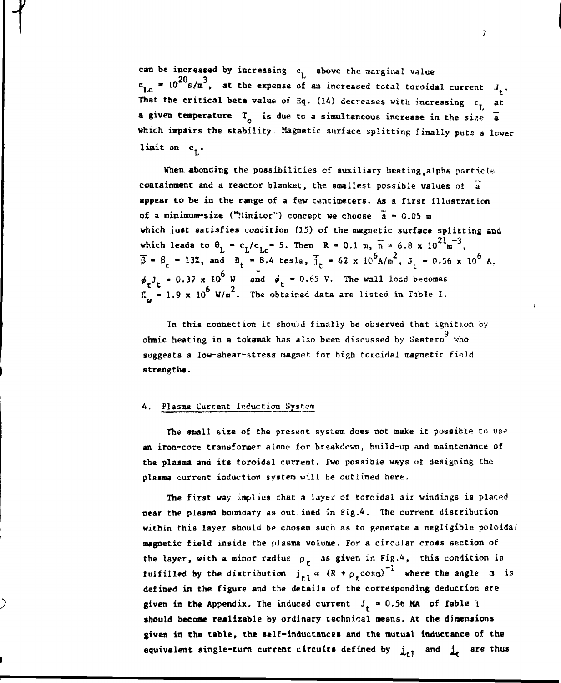**can be increased by increasing c, above the marginal value**  $c_{1,c}$  = 10<sup>20</sup> s/m<sup>3</sup>, at the expense of an increased total toroidal current J.. **That the critical beta value of Eq. (14) decreases with increasing**  $c_{\tilde{L}}$  **at a given temperature TQ is due to a simultaneous increase in the size a** which impairs the stability. Magnetic surface splitting finally puts a lower  $limit on c<sub>1</sub>$ .

When abonding the possibilities of auxiliary heating alpha particle **containment and a reactor blanket, the smallest possible values of a appear to be in the range of a few centimeters. As a first illustration** of a minimum-size ("Minitor") concept we choose  $\bar{a} = 0.05$  m **which just satisfies condition (15) of the magnetic surface splitting and** which leads to  $\theta$ <sub>7</sub> = C<sub>1</sub>/C<sub>1c</sub> = 5. Then R = 0.1 m,  $\bar{n}$  = 6.8 x 10<sup>21</sup>m<sup>-3</sup>,  $\overline{B} = B_c = 13\overline{z}$ , and  $B_t = 8.4$  tesla,  $\overline{J}_t = 62 \times 10^6 A/m^2$ ,  $J_t = 0.56 \times 10^6 A$ ,  $\phi_{\mu}J_{\mu} = 0.37 \times 10^{6}$  W and  $\phi_{\mu} = 0.65$  V. The wall load becomes  $t^t$  6  $\frac{6}{2}$  $H_v = 1.9 \times 10^6$  W/m<sup>2</sup>. The obtained data are listed in Table I. **w**

**In this connection it should finally be observed that ignition by 9 ohmic heating in a tokamak has also been discussed by Sestero who suggests a low-shear-stress magnet for high toroidal magnetic field strengths.**

#### **4. Pla3ma Current Induction System**

**The small size of the present system does not make it possible to us-<sup>1</sup> an iron-core transformer alone for breakdownt build-up and maintenance of the plasma and its toroidal current. Two possible ways of designing the plasma current induction system will be outlined here.**

**The first way implies that a layec of toroidal air windings is placed near the plasma boundary as outlined in fig.4. The current distribution within this layer should be chosen such as to generate a negligible poloida/ magnetic field inside the plasma volume. For a circular cross section of** the layer, with a minor radius  $\rho_r$  as given in Fig.<sup>4</sup>, this condition is **fulfilled by the distribution**  $j_{r,1} \propto (R + \rho_+ \cos \alpha)^{-1}$  where the angle  $\alpha$  is **defined in the figure and the details of the corresponding deduction are** given in the Appendix. The induced current  $J<sub>+</sub> = 0.56$  MA of Table I **should become realizable by ordinary technical means. At the dimensions given in the table, the self-inductances and the mutual inductance of the equivalent single-turn current circuits defined by**  $\mathbf{j}_{t,1}$  **and**  $\mathbf{j}_{t}$  **are** 

 $\overline{\mathbf{z}}$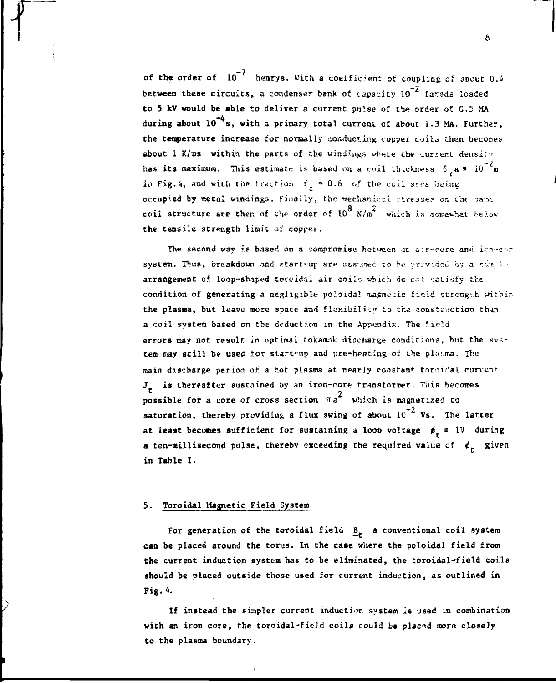of the order of  $10^{-7}$  henrys. With a coefficient of coupling of about 0.4 **between these circuits, a condenser bank of capacity 10<sup>-2</sup> farads loaded** to 5 kV would be able to deliver a current pulse of the order of C.5 MA during about 10<sup>-4</sup>s, with a primary total current of about 1.3 MA. Further, **the temperature increase for normally conducting copper coils then becomes about 1 K/xas within the parts of the windings vrere the current densitv** has its maximum. This estimate is based on a coil thickness  $\delta_{\epsilon} a = 10^{-2} m$ in Fig.4, and with the fraction  $f_x = 0.8$  of the coil area being **occupied by metal windings. Finally, the mechanical stresses on the same coil structure are then of the order of 10<sup>8</sup> N/m<sup>2</sup> which is somewhat below the tensile strength limit of copper.**

The second way is based on a compromise between or air-core and icn-cor  $s$ ystem. Thus, breakdown and start-up are assumed to be provided by a simple **arrangement of loop-sh.iped torcidil air coilo which do cot satisfy the** condition of generating a negligible poloidal magnecic field strength within **the plasma, but leave more space and flexibility Lo the construction thin a coil system based on the deduction in the Appendix. The field errors may not result in optimal tokamak discharge conditions, but the sys**tem may still be used for start-up and pre-heating of the plasma. The **main discharge period of a hot plasma at nearly constant tor^i^al current J is thereafter sustained by an iron-core transformer, This becomes c**<br>possible for a core of cross section  $\pi a^2$  which is magnetized to **possible for a core of cross section takes section to which is magnetized to which is magnetized to the section of the section of**  $\mathbf{z}$ **-2 saturation, thereby providing a flux swing of about 10 Vs. The latter at least becomes sufficient for sustaining a loop voltage é \* IV during a** ten-millisecond pulse, thereby exceeding the required value of  $\phi_t$  given **in Table I.**

### **5. Toroidal Magnetic Field System**

For generation of the toroidal field  $B_r$  a conventional coil system **can be placed around the torus. In the case where the potoidal field from the current induction system has to be eliminated, the toroidal-field coils should be placed outside those used for current induction, as outlined in Fig. 4.**

**If instead the simpler current induction system is used in combination with an iron core, the toroidal-field coils could be placed more closely** to the plasma boundary.

 $\mathbf{s}$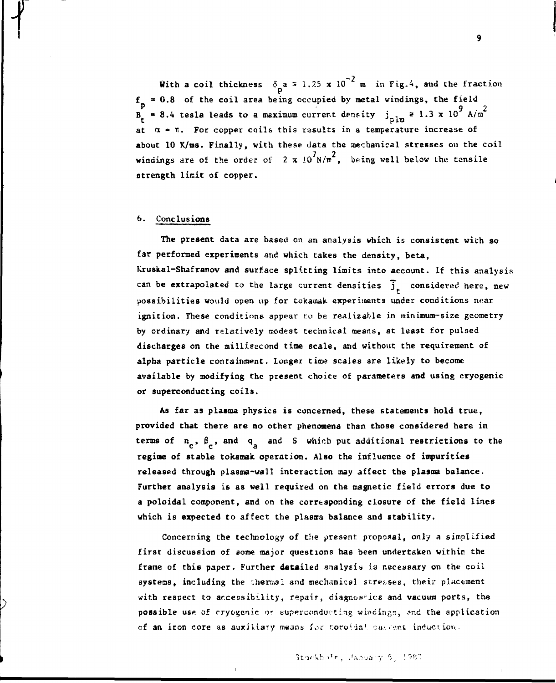With a coil thickness  $\delta_n a = 1.25 \times 10^{-2}$  m in Fig.4, and the fraction  $f_p = 0.8$  of the coil area being occupied by metal windings, the field **p**  $\bullet$  8.4 tesla leads to a maximum current density  $\int_{p \ln p} a 1.3 \times 10^9 A/m^2$ **at a = TI. For copper coils this rasults in a temperature increase of** about 10 K/ms. Finally, with these data the mechanical stresses on the coil **windings are of the order of 2 x**  $10^{7}$  **N/m<sup>2</sup>, being well below the tensile strength limit of copper.**

## **6. Conclusions**

**IT**

**The present data are based on an analysis which is consistent wich so far performed experiments and which takes the density, beta, Kruskal-Shafranov and surface splitting limits into account. If this analysis** can be extrapolated to the large current densities  $\overline{\mathbf{j}}_{r}$  considered here, new possibilities would open up for tokamak experiments under conditions near **ignition. These conditions appear to be realizable in minimum-size geometry by ordinary and relatively modest technical means, at least for pulsed discharges on the millisecond time scale, and without the requirement of alpha particle containment. Longer time scales are likely to become available by modifying the present choice of parameters and using cryogenic or superconducting coils.**

**As far as plasma physics is concerned, these statements hold true, provided that there are no other phenomena than those considered here in** terms of  $n_e$ ,  $\beta_e$ , and  $q_e$  and S which put additional restrictions to the **regime of stable tokamak operation. Also the influence of impurities released through plasma-wall interaction may affect the plasma balance. Further analysis is as well required on the magnetic field errors due to a poloidal component, and on the corresponding closure of the field lines which is expected to affect the plasma balance and stability.**

**Concerning the technology of the present proposal, only a simplified first discussion of some major questions has been undertaken within the frame of this paper. Further detailed analysis» is necessary on the coil systems, including the thermal and mechanical stresses, their placement with respect to accessibility, repair, diagnostics and vacuum ports, the** possible use of cryogenic or superconducting windings, and the application **of an iron core as auxiliary means Hov f.oto'da<sup>1</sup> cu-.••nt induction.**

 $\boldsymbol{9}$ 

## Stockhole, January 6, 1980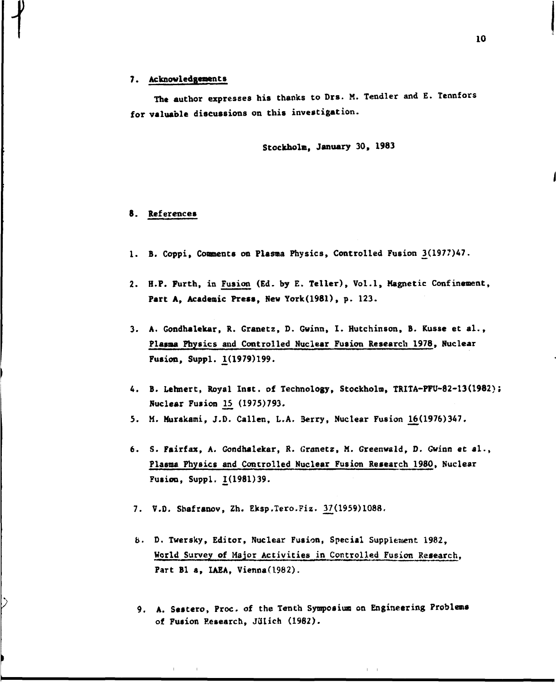#### **7. Acknowledgements**

**The author expresses his thanks to Drs. M. Tendler and E. Tennfors for valuable discussions on this investigation.**

**Stockholm, January 30, 1983**

### **8. References**

- **1. B. Coppi, Comments on Plasma Physics, Controlled Fusion 3il97?)lt7.**
- **2. H.P. Purth, in Fusion (Ed. by E. Teller), Vol.1, Magnetic Confinement, Part A, Academic Press, New York(1981), p. 123.**
- **3. A. Gondhalekar, R. Granetz, D. Gwinn, I. Hutchinson, B. Kusse et al., Plasma Physics and Controlled Nuclear Fusion Research 1978, Nuclear Fusion, Suppl. \_1 (1979) 199.**
- 4. B. Lehnert, Royal Inst. of Technology, Stockholm, TRITA-PFU-82-13(1982); **Nuclear Fusion 15 (1975)793.**
- **5. M. Murakami, J.D. Callen, L.A. 3erry, Nuclear Fusion 16(1976)347.**
- **6. S. Fairfax, A. Gondhalekar, R. Granetz, M. GreenwaId, 0. Gwinn et al., Plasma Physics and Controlled Nuclear Fusion Research 1980, Nuclear Fusion, Suppl. £(1981)39.**
- 7. V.D. Shafranov, Zh. Eksp.Tero.Fiz. 37(1959)1088.
- **b. D. Twersky, Editor, Nuclear Fusion, Special Supplement 1982, World Survey of Major Activities in Controlled Fusion Research, Part Bl a, IAEA, Vienna(l982).**
- **9. A. Sestero, Proc. of the Tenth Symposium on Engineering Problems** of Fusion Research, Jülich (1982).

 $\Gamma = -1$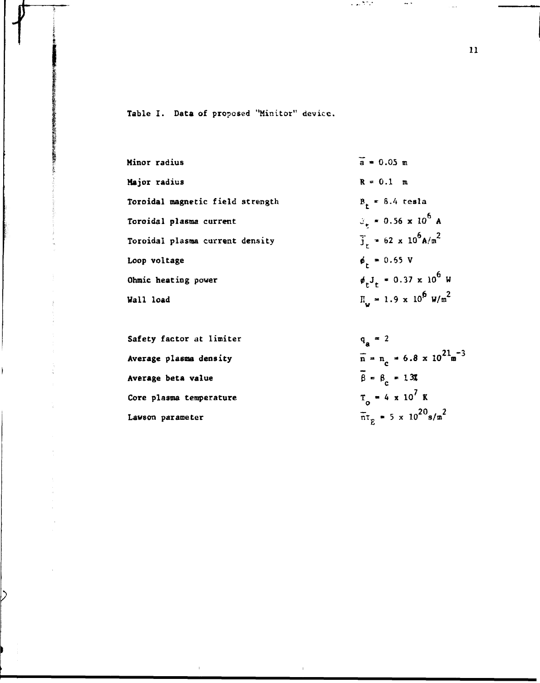**Table I. Data** of proposed "Minitor" device.

| Minor radius                     | $\bar{a} = 0.05$ m                                    |
|----------------------------------|-------------------------------------------------------|
| Major radius                     | $R = 0.1$ m                                           |
| Toroidal magnetic field strength | $B_r = 8.4$ tesla                                     |
| Toroidal plasma current          | $\theta_x = 0.56 \times 10^6$ A                       |
| Toroidal plasma current density  | $\frac{1}{3}$ = 62 x 10 <sup>6</sup> A/m <sup>2</sup> |
| Loop voltage                     | $\phi_r = 0.65$ V                                     |
| Ohmic heating power              | $\phi_{r}J_{r} = 0.37 \times 10^{6} \text{ W}$        |
| Wall load                        | $\Pi_{1}$ = 1.9 x 10 <sup>6</sup> W/m <sup>2</sup>    |
|                                  |                                                       |

 $\mathcal{L}^{\text{max}}(\mathcal{L}^{\text{max}})$ 

 $\sim$   $\gamma$ 

**Safety factor at limiter**  $q_a = 2$ Average plasma density Average beta value  $\overline{\beta} = \beta_c = 13\pi$ **Average beta value B » B \* I S Core plasma temperature T • 4 it 10 K**

 $\mathcal{L}_{\mathrm{c}}$ 

D

 $\bar{n} = n_c = 6.8 \times 10^{21} \text{m}^{-3}$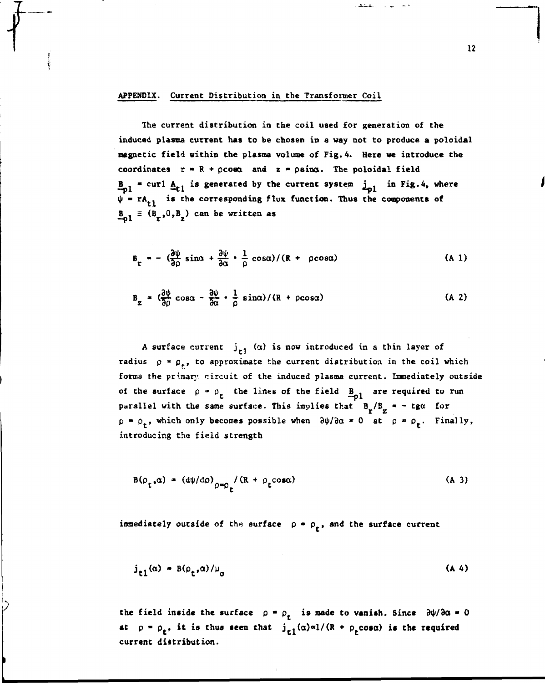#### **APPENDIX. Current Distribution in the Transformer Coil**

**t**

**The current distribution in the coil used for generation of the induced plasma current has to be chosen in a way not to produce a poloidal magnetic field within the plasma volume of Fig. 4. Here we introduce the** coordinates  $r = R + \rho \cos \alpha$  and  $z = \rho \sin \alpha$ . The poloidal field  $B_{01}$  = curl  $A_{t1}$  is generated by the current system  $\frac{1}{1}$  in Fig.4, where  $\psi$  =  $rA_{r1}$  is the corresponding flux function. Thus the components of  $B_{01} \equiv (B_{r}, 0, B_{2})$  can be written as

$$
B_{r} = -\left(\frac{\partial \psi}{\partial \rho} \sin \alpha + \frac{\partial \psi}{\partial \alpha} \cdot \frac{1}{\rho} \cos \alpha\right) / (R + \rho \cos \alpha)
$$
 (A 1)

$$
B_{z} = \left(\frac{\partial \psi}{\partial \rho} \cos \alpha - \frac{\partial \psi}{\partial \alpha} \cdot \frac{1}{\rho} \sin \alpha\right) / (R + \rho \cos \alpha)
$$
 (A 2)

A surface current  $j_{r1}$  (a) is now introduced in a thin layer of radius  $\rho = \rho_r$ , to approximate the current distribution in the coil which **forma the primary circuit of the induced plasma current. Immediately outside** of the surface  $\rho = \rho_t$  the lines of the field  $B_{01}$  are required to run parallel with the same surface. This implies that  $B_T/B_Z = - \text{ tga}$  for  $p = \rho_t$ , which only becomes possible when  $\frac{\partial \psi}{\partial \alpha} = 0$  at  $\rho = \rho_t$ . Finally, **introducing the field strength**

$$
B(\rho_t, \alpha) = (d\psi/d\rho)_{\rho = \rho_t} / (R + \rho_t \cos\alpha)
$$
 (A 3)

immediately outside of the surface  $p = p_t$ , and the surface current

$$
j_{r1}(\alpha) = B(\rho_r, \alpha) / \mu_0 \tag{A 4}
$$

the field inside the surface  $\rho = \rho_t$  is made to vanish. Since  $\frac{\partial \psi}{\partial \alpha} = 0$ **at**  $p = p_t$ , it is thus seen that  $j_t(\alpha) \alpha 1/(R + p_t \cos \alpha)$  is the required **current distribution.**

**12**

حماريها والمقتف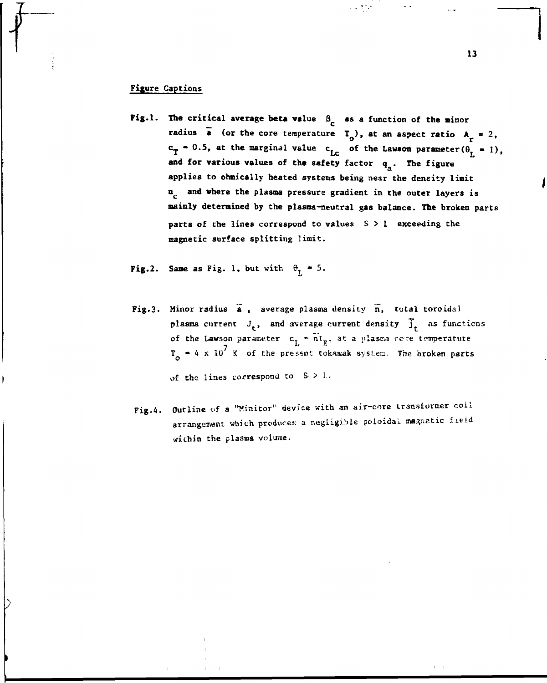## **Figure Captions**

**Fig.1.** The critical average beta value  $\beta_c$  as a function of the minor radius  $\bar{a}$  (or the core temperature  $T_0$ ), at an aspect ratio  $A_r = 2$ ,  $c_{\text{T}} = 0.5$ , at the marginal value  $c_{\text{LC}}$  of the Lawson parameter( $\theta_{\text{L}} = 1$ ), and for various values of the safety factor q<sub>3</sub>. The figure applies to ohmically heated systems being near the density limit **a<sub>c</sub>** and where the plasma pressure gradient in the outer layers is mainly determined by the plasma-neutral gas balance. The broken parts parts of the lines correspond to values  $S > 1$  exceeding the magnetic surface splitting limit. **magnetic surface splitting limit.**

u voj

**Fig.2.** Same as Fig. 1, but with  $\theta_r = 5$ .

- Fig.3. Minor radius a, average plasma density n, total toroidal plasma current  $J_t$ , and average current density  $\tilde{J}_t$  as functions of the Lawson parameter  $c_L = \overline{n}t_E$ , at a plasma come temperature  $T_a$  = 4 x 10<sup>7</sup> K of the present tokanak system. The broken parts of the lines correspond to  $S > 1$ .
- Fig.4. Outline of a "Minitor" device with an air-core transformer coil arrangement which produces a negligible poloidal magnetic field wichin the plasma volume.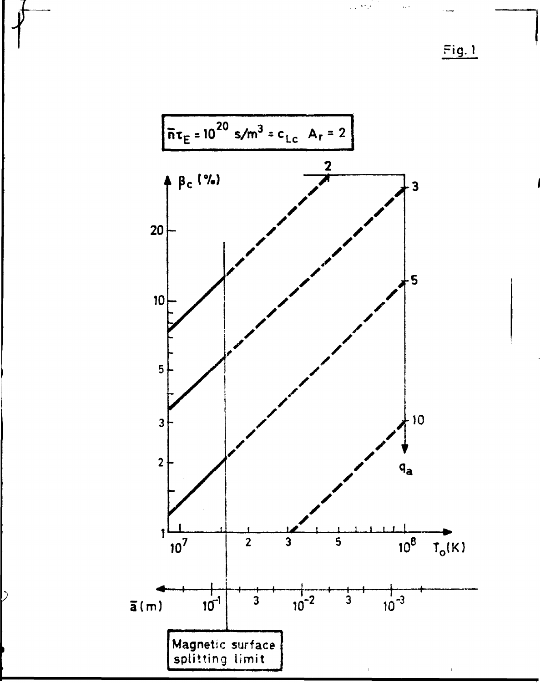Fig. 1

برميا



 $\flat$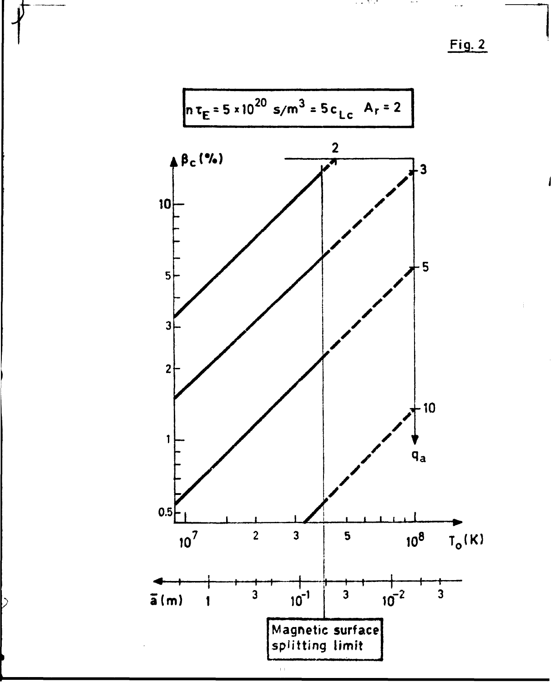**f Fig. 2**



 $\overline{\triangleright}$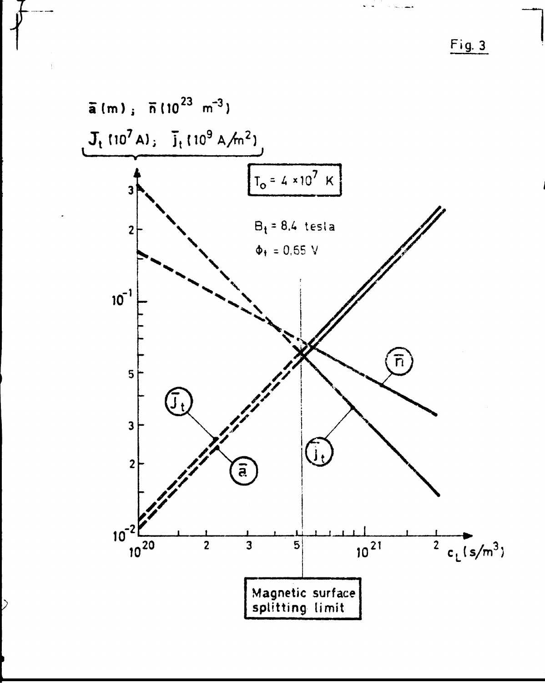Fig. 3



 $\mathcal{C}$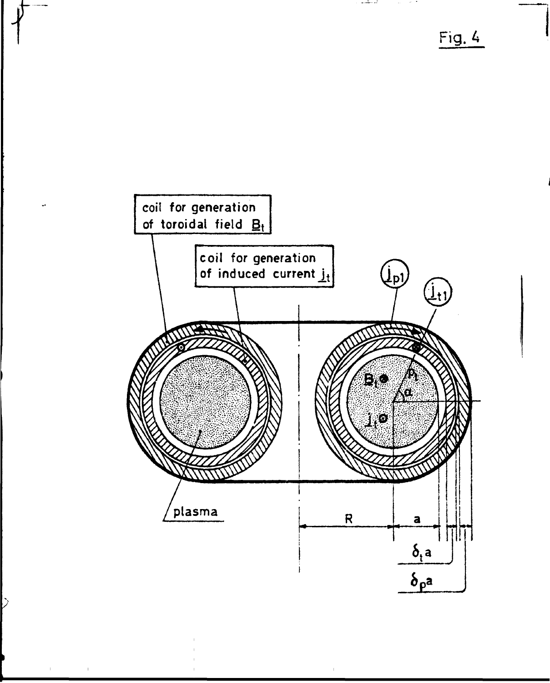Fig. 4

محب

 $\sim$   $\sim$ 



**. .** 

 $\mathcal{C}^{\mathcal{C}}$